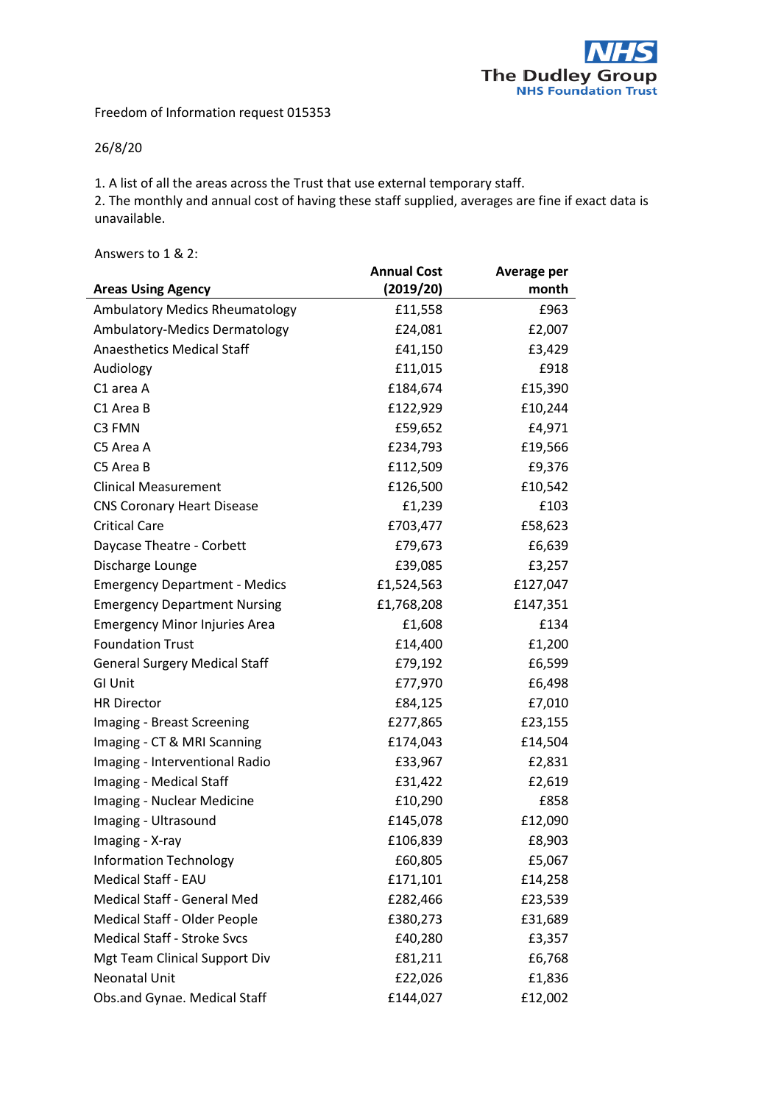

Freedom of Information request 015353

## 26/8/20

1. A list of all the areas across the Trust that use external temporary staff.

2. The monthly and annual cost of having these staff supplied, averages are fine if exact data is unavailable.

Answers to 1 & 2:

|                                       | <b>Annual Cost</b> | Average per |
|---------------------------------------|--------------------|-------------|
| <b>Areas Using Agency</b>             | (2019/20)          | month       |
| <b>Ambulatory Medics Rheumatology</b> | £11,558            | £963        |
| Ambulatory-Medics Dermatology         | £24,081            | £2,007      |
| <b>Anaesthetics Medical Staff</b>     | £41,150            | £3,429      |
| Audiology                             | £11,015            | £918        |
| C1 area A                             | £184,674           | £15,390     |
| C1 Area B                             | £122,929           | £10,244     |
| C3 FMN                                | £59,652            | £4,971      |
| C5 Area A                             | £234,793           | £19,566     |
| C5 Area B                             | £112,509           | £9,376      |
| <b>Clinical Measurement</b>           | £126,500           | £10,542     |
| <b>CNS Coronary Heart Disease</b>     | £1,239             | £103        |
| <b>Critical Care</b>                  | £703,477           | £58,623     |
| Daycase Theatre - Corbett             | £79,673            | £6,639      |
| Discharge Lounge                      | £39,085            | £3,257      |
| <b>Emergency Department - Medics</b>  | £1,524,563         | £127,047    |
| <b>Emergency Department Nursing</b>   | £1,768,208         | £147,351    |
| <b>Emergency Minor Injuries Area</b>  | £1,608             | £134        |
| <b>Foundation Trust</b>               | £14,400            | £1,200      |
| <b>General Surgery Medical Staff</b>  | £79,192            | £6,599      |
| <b>GI Unit</b>                        | £77,970            | £6,498      |
| <b>HR Director</b>                    | £84,125            | £7,010      |
| Imaging - Breast Screening            | £277,865           | £23,155     |
| Imaging - CT & MRI Scanning           | £174,043           | £14,504     |
| Imaging - Interventional Radio        | £33,967            | £2,831      |
| Imaging - Medical Staff               | £31,422            | £2,619      |
| Imaging - Nuclear Medicine            | £10,290            | £858        |
| Imaging - Ultrasound                  | £145,078           | £12,090     |
| Imaging - X-ray                       | £106,839           | £8,903      |
| <b>Information Technology</b>         | £60,805            | £5,067      |
| <b>Medical Staff - EAU</b>            | £171,101           | £14,258     |
| Medical Staff - General Med           | £282,466           | £23,539     |
| Medical Staff - Older People          | £380,273           | £31,689     |
| <b>Medical Staff - Stroke Svcs</b>    | £40,280            | £3,357      |
| Mgt Team Clinical Support Div         | £81,211            | £6,768      |
| Neonatal Unit                         | £22,026            | £1,836      |
| Obs.and Gynae. Medical Staff          | £144,027           | £12,002     |